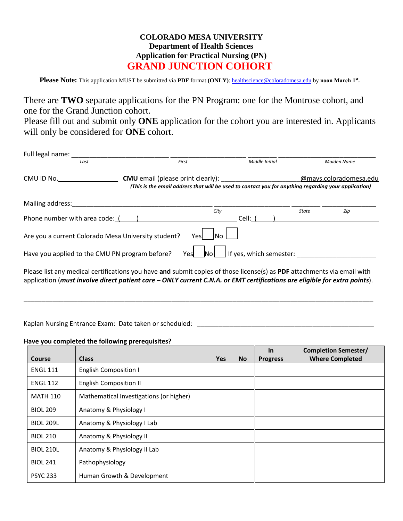## **COLORADO MESA UNIVERSITY Department of Health Sciences Application for Practical Nursing (PN) GRAND JUNCTION COHORT**

Please Note: This application MUST be submitted via PDF format (ONLY): he[althscience@coloradomesa.edu](mailto:healthscience@coloradomesa.edu) by noon March 1<sup>st</sup>.

There are **TWO** separate applications for the PN Program: one for the Montrose cohort, and one for the Grand Junction cohort.

Please fill out and submit only **ONE** application for the cohort you are interested in. Applicants will only be considered for **ONE** cohort.

| Full legal name:                                    |                                                                                                                         |      |                         |       |                        |
|-----------------------------------------------------|-------------------------------------------------------------------------------------------------------------------------|------|-------------------------|-------|------------------------|
| Last                                                | First                                                                                                                   |      | Middle Initial          |       | Maiden Name            |
| CMU ID No.                                          | <b>CMU</b> email (please print clearly):                                                                                |      |                         |       | @mavs.coloradomesa.edu |
|                                                     | (This is the email address that will be used to contact you for anything regarding your application)                    |      |                         |       |                        |
| Mailing address:                                    |                                                                                                                         |      |                         |       |                        |
|                                                     |                                                                                                                         | City |                         | State | Zip                    |
| Phone number with area code: (                      |                                                                                                                         |      | Cell: (                 |       |                        |
| Are you a current Colorado Mesa University student? |                                                                                                                         | Yesl |                         |       |                        |
| Have you applied to the CMU PN program before?      | Yesl                                                                                                                    | No l | If yes, which semester: |       |                        |
|                                                     | Please list any medical certifications you have and submit copies of those license(s) as PDF attachments via email with |      |                         |       |                        |

application (*must involve direct patient care – ONLY current C.N.A. or EMT certifications are eligible for extra points*).

\_\_\_\_\_\_\_\_\_\_\_\_\_\_\_\_\_\_\_\_\_\_\_\_\_\_\_\_\_\_\_\_\_\_\_\_\_\_\_\_\_\_\_\_\_\_\_\_\_\_\_\_\_\_\_\_\_\_\_\_\_\_\_\_\_\_\_\_\_\_\_\_\_\_\_\_\_\_\_\_\_\_\_\_\_\_\_\_\_\_\_\_\_\_\_\_\_

Kaplan Nursing Entrance Exam: Date taken or scheduled: \_\_\_\_\_\_\_\_\_\_\_\_\_\_\_\_\_\_\_\_\_\_\_\_\_

## **Have you completed the following prerequisites?**

|                  |                                         |            |           | <b>In</b>       | <b>Completion Semester/</b> |
|------------------|-----------------------------------------|------------|-----------|-----------------|-----------------------------|
| Course           | <b>Class</b>                            | <b>Yes</b> | <b>No</b> | <b>Progress</b> | <b>Where Completed</b>      |
| <b>ENGL 111</b>  | <b>English Composition I</b>            |            |           |                 |                             |
| <b>ENGL 112</b>  | <b>English Composition II</b>           |            |           |                 |                             |
| MATH 110         | Mathematical Investigations (or higher) |            |           |                 |                             |
| <b>BIOL 209</b>  | Anatomy & Physiology I                  |            |           |                 |                             |
| <b>BIOL 209L</b> | Anatomy & Physiology I Lab              |            |           |                 |                             |
| <b>BIOL 210</b>  | Anatomy & Physiology II                 |            |           |                 |                             |
| <b>BIOL 210L</b> | Anatomy & Physiology II Lab             |            |           |                 |                             |
| <b>BIOL 241</b>  | Pathophysiology                         |            |           |                 |                             |
| <b>PSYC 233</b>  | Human Growth & Development              |            |           |                 |                             |